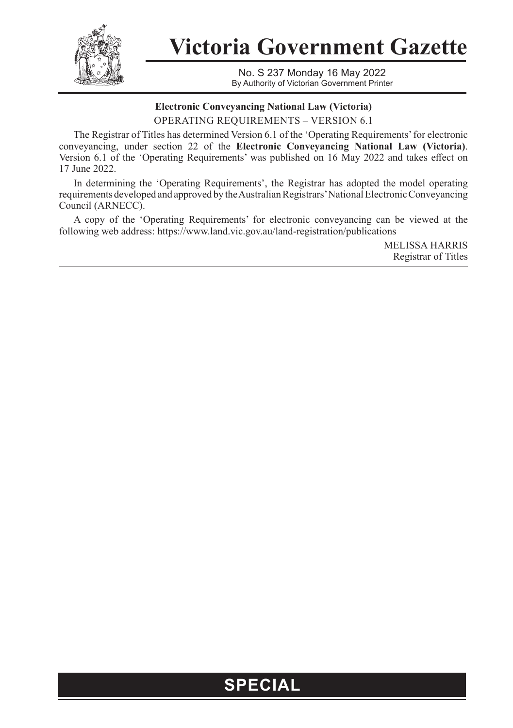

**Victoria Government Gazette**

No. S 237 Monday 16 May 2022 By Authority of Victorian Government Printer

## **Electronic Conveyancing National Law (Victoria)** OPERATING REQUIREMENTS – VERSION 6.1

The Registrar of Titles has determined Version 6.1 of the 'Operating Requirements' for electronic conveyancing, under section 22 of the **Electronic Conveyancing National Law (Victoria)**. Version 6.1 of the 'Operating Requirements' was published on 16 May 2022 and takes effect on 17 June 2022.

In determining the 'Operating Requirements', the Registrar has adopted the model operating requirements developed and approved by the Australian Registrars' National Electronic Conveyancing Council (ARNECC).

A copy of the 'Operating Requirements' for electronic conveyancing can be viewed at the following web address: https://www.land.vic.gov.au/land-registration/publications

> MELISSA HARRIS Registrar of Titles

## **SPECIAL**